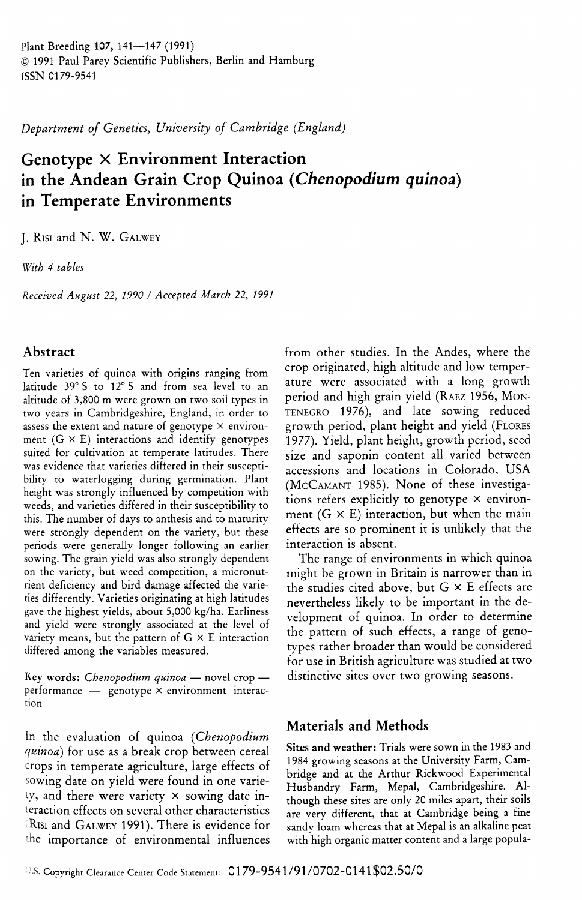Plant Breeding **107,** 141—147 (1991) © 1991 Paul Parey Scientific Publishers, Berlin and Hamburg ISSN 0179-9541

*Department of Genetics, University of Cambridge (England)*

# **Genotype X Environment Interaction in the Andean Grain Crop Quinoa** *{Chenopodium quinoa)* **in Temperate Environments**

J. RISI and N. W. GALWEY

*With 4 tables*

*Received August 22, 1990 I Accepted March 22, 1991*

## **Abstract**

Ten varieties of quinoa with origins ranging from latitude 39° S to 12° S and from sea level to an altitude of 3,800 m were grown on two soil types in two years in Gambridgeshire, England, in order to assess the extent and nature of genotype  $\times$  environment  $(G \times E)$  interactions and identify genotypes suited for cultivation at temperate latitudes. There was evidence that varieties differed in their susceptibility to waterlogging during germination. Plant height was strongly influenced by competition with weeds, and varieties differed in their susceptibility to this. The number of days to anthesis and to maturity were strongly dependent on the variety, but these periods were generally longer following an earlier sowing. The grain yield was also strongly dependent on the variety, but weed competition, a micronutrient deficiency and bird damage affected the varieties differently. Varieties originating at high latitudes gave the highest yields, about 5,000 kg/ha. Earliness and yield were strongly associated at the level of variety means, but the pattern of  $G \times E$  interaction differed among the variables measured.

Key **words:** *Chenopodium quinoa* — novel crop performance  $-$  genotype  $\times$  environment interaction

In the evaluation of quinoa *{Chenopodium quinoa)* for use as a break crop between cereal crops in temperate agriculture, large effects of sowing date on yield were found in one variety, and there were variety  $\times$  sowing date interaction effects on several other characteristics RISI and GALWEY 1991). There is evidence for the importance of environmental influences from other studies. In the Andes, where the crop originated, high altitude and low temperature were associated with a long growth period and high grain yield (RAEZ 1956, MON-TENEGRO 1976), and late sowing reduced growth period, plant height and yield (FLORES 1977). Yield, plant height, growth period, seed size and saponin content all varied between accessions and locations in Golorado, USA (MCGAMANT 1985). None of these investigations refers explicitly to genotype  $\times$  environment  $(G \times E)$  interaction, but when the main effects are so prominent it is unlikely that the interaction is absent.

The range of environments in which quinoa might be grown in Britain is narrower than in the studies cited above, but  $G \times E$  effects are nevertheless likely to be important in the development of quinoa. In order to determine the pattern of such effects, a range of genotypes rather broader than would be considered for use in British agriculture was studied at two distinctive sites over two growing seasons.

## **Materials and Methods**

**Sites and weather:** Trials were sown in the 1983 and 1984 growing seasons at the University Farm, Gambridge and at the Arthur Rickwood Experimental Husbandry Farm, Mepal, Gambridgeshire. Although these sites are only 20 miles apart, their soils are very different, that at Gambridge being a fine sandy loam whereas that at Mepal is an alkaline peat with high organic matter content and a large popula-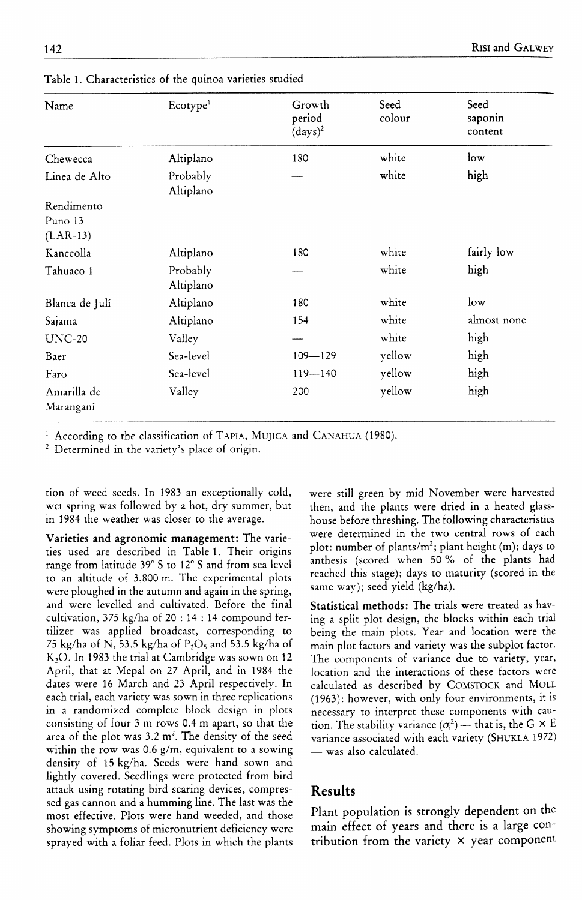| Name                                | Ecotype <sup>1</sup>  | Growth<br>period<br>$(days)^2$ | Seed<br>colour | Seed<br>saponin<br>content |
|-------------------------------------|-----------------------|--------------------------------|----------------|----------------------------|
| Chewecca                            | Altiplano             | 180                            | white          | $\log$                     |
| Linea de Alto                       | Probably<br>Altiplano |                                | white          | high                       |
| Rendimento<br>Puno 13<br>$(LAR-13)$ |                       |                                |                |                            |
| Kanccolla                           | Altiplano             | 180                            | white          | fairly low                 |
| Tahuaco 1                           | Probably<br>Altiplano |                                | white          | high                       |
| Blanca de Julí                      | Altiplano             | 180                            | white          | $\log$                     |
| Sajama                              | Altiplano             | 154                            | white          | almost none                |
| $UNC-20$                            | Valley                |                                | white          | high                       |
| Baer                                | Sea-level             | $109 - 129$                    | yellow         | high                       |
| Faro                                | Sea-level             | $119 - 140$                    | yellow         | high                       |
| Amarilla de<br>Maranganí            | Valley                | 200                            | yellow         | high                       |

Table 1. Gharacteristics of the quinoa varieties studied

According to the classification of TAPIA, MUJICA and CANAHUA (1980).

<sup>2</sup> Determined in the variety's place of origin.

tion of weed seeds. In 1983 an exceptionally cold, wet spring was followed by a hot, dry summer, but in 1984 the weather was closer to the average.

**Varieties and agronomic management:** The varieties used are described in Table 1. Their origins range from latitude 39° S to 12° S and from sea level to an altitude of 3,800 m. The experimental plots were ploughed in the autumn and again in the spring, and were levelled and cultivated. Before the final cultivation, 375 kg/ha of 20 : 14 : 14 compound fertilizer was applied broadcast, corresponding to 75 kg/ha of N, 53.5 kg/ha of  $P_2O_5$  and 53.5 kg/ha of  $K<sub>2</sub>O$ . In 1983 the trial at Cambridge was sown on 12 April, that at Mepal on 27 April, and in 1984 the dates were 16 March and 23 April respectively. In each trial, each variety was sown in three replications in a randomized complete block design in plots consisting of four 3 m rows 0.4 m apart, so that the area of the plot was  $3.2 \text{ m}^2$ . The density of the seed within the row was 0.6 g/m, equivalent to a sowing density of 15 kg/ha. Seeds were hand sown and lightly covered. Seedlings were protected from bird attack using rotating bird scaring devices, compressed gas cannon and a humming line. The last was the most effective. Plots were hand weeded, and those showing symptoms of micronutrient deficiency were sprayed with a foliar feed. Plots in which the plants were still green by mid November were harvested then, and the plants were dried in a heated glasshouse before threshing. The following characteristics were determined in the two central rows of each plot: number of plants/ $m^2$ ; plant height (m); days to anthesis (scored when 50 % of the plants had reached this stage); days to maturity (scored in the same way); seed yield (kg/ha).

**Statistical methods:** The trials were treated as having a split plot design, the blocks within each trial being the main plots. Year and location were the main plot factors and variety was the subplot factor. The components of variance due to variety, year, location and the interactions of these factors were calculated as described by GOMSTOCK and MOLL (1963): however, with only four environments, it is necessary to interpret these components with caution. The stability variance  $(\sigma_i^2)$  — that is, the G  $\times$  E variance associated with each variety (SHUKLA 1972) — was also calculated.

## **Results**

Plant population is strongly dependent on the main effect of years and there is a large contribution from the variety  $\times$  year component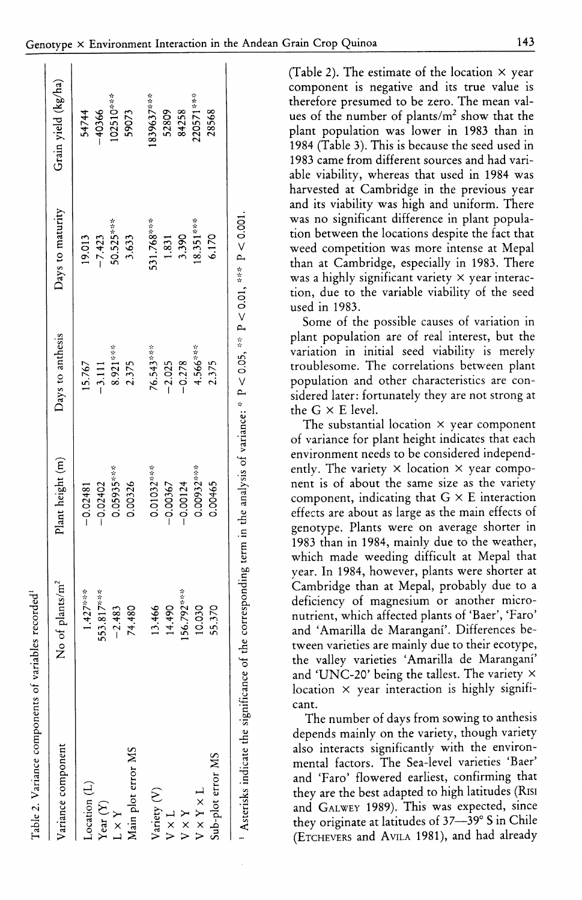| Table 2. Variance components of variables recorded |                                                                                                                                                          |                   |                  |                  |                     |
|----------------------------------------------------|----------------------------------------------------------------------------------------------------------------------------------------------------------|-------------------|------------------|------------------|---------------------|
| Variance component                                 | No of plants/m <sup>2</sup>                                                                                                                              | Plant height (m)  | Days to anthesis | Days to maturity | Grain yield (kg/ha) |
| Location <sub>(L)</sub>                            | $1.427***$                                                                                                                                               | $-0.02481$        | 15.767           | 19.013           | 54744               |
| Year $(Y)$                                         | 553.817***                                                                                                                                               | $-0.02402$        | $-3.111$         | $-7.423$         | $-40366$            |
| $1 \times Y$                                       | $-2.483$                                                                                                                                                 | 0.05935***        | 8.921***         | 50.525***        | 102510***           |
| Main plot error MS                                 | 74.480                                                                                                                                                   | 0.00326           | 2.375            | 3.633            | 59073               |
| Variety (V)                                        | 13.466                                                                                                                                                   | 0.01032***        | 76.543***        | 531.768***       | 1839637***          |
| $V \times L$                                       | 14.490                                                                                                                                                   | $-0.00367$        | $-2.025$         | 1.831            | 52809               |
| $V\times Y$                                        | 156.792***                                                                                                                                               | $-0.00124$        | $-0.278$         | 3.390            | 84258               |
| $V \times Y \times L$                              | 10.030                                                                                                                                                   | 0.00932***        | $4.566***$       | $18.351***$      | 220571***           |
| Sub-plot error MS                                  | 55.370                                                                                                                                                   | \$<br>$rac{4}{5}$ | 2.375            | 6.170            | 28568               |
|                                                    | <sup>1</sup> Asterisks indicate the significance of the corresponding term in the analysis of variance: * $P < 0.05$ , ** $P < 0.01$ , *** $P < 0.001$ . |                   |                  |                  |                     |
|                                                    |                                                                                                                                                          |                   |                  |                  |                     |

(Table 2). The estimate of the location  $\times$  year component is negative and its true value is therefore presumed to be zero. The mean values of the number of plants/m<sup>2</sup> show that the plant population was lower in 1983 than in 1984 (Table 3). This is because the seed used in 1983 came from different sources and had variable viability, whereas that used in 1984 was harvested at Cambridge in the previous year and its viability was high and uniform. There was no significant difference in plant population between the locations despite the fact that weed competition was more intense at Mepal than at Cambridge, especially in 1983. There was a highly significant variety  $\times$  year interaction, due to the variable viability of the seed used in 1983.

Some of the possible causes of variation in plant population are of real interest, but the variation in initial seed viability is merely troublesome. The correlations between plant population and other characteristics are considered later: fortunately they are not strong at the  $G \times E$  level.

The substantial location  $\times$  year component of variance for plant height indicates that each environment needs to be considered independently. The variety  $\times$  location  $\times$  year component is of about the same size as the variety component, indicating that  $G \times E$  interaction effects are about as large as the main effects of genotype. Plants were on average shorter in 1983 than in 1984, mainly due to the weather, which made weeding difficult at Mepal that year. In 1984, however, plants were shorter at Cambridge than at Mepal, probably due to a deficiency of magnesium or another micronutrient, which affected plants of 'Baer', 'Faro' and 'Amarilla de Maranganí'. Differences between varieties are mainly due to their ecotype, the valley varieties 'Amarilla de Maranganí' and 'UNC-20' being the tallest. The variety  $\times$ location  $\times$  year interaction is highly significant.

The number of days from sowing to anthesis depends mainly on the variety, though variety also interacts significantly with the environmental factors. The Sea-level varieties 'Baer' and 'Faro' flowered earliest, confirming that they are the best adapted to high latitudes (RISI and GALWEY 1989). This was expected, since they originate at latitudes of 37-39° S in Chile (ETCHEVERS and AVILA 1981), and had already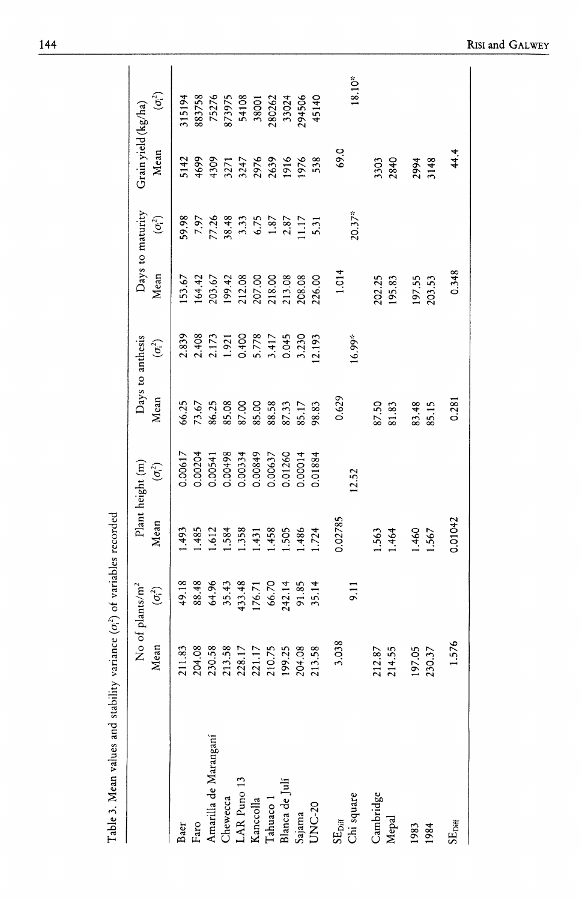|                       |                  | No of $\text{plants/m}^2$ | Plant hei      | ight(m)        |                | Days to anthesis        |                  | Days to maturity           | Grain yield (kg/ha) |                |
|-----------------------|------------------|---------------------------|----------------|----------------|----------------|-------------------------|------------------|----------------------------|---------------------|----------------|
|                       | Mean             | $(\sigma_i^2)$            | Mean           | $(\sigma_i^2)$ | Mean           | $(\sigma_i^2)$          | Mean             | $(\sigma_i^2)$             | Mean                | $(\sigma_i^2)$ |
| Baer                  | 211.83           | 49.18                     | .493           | 0.00617        | 66.25          | 2.839                   | 53.67            | 59.98                      | 5142                | 315194         |
| Faro                  | 204.08           | 88.48                     | .485           | 0.00204        | 73.67          |                         | 164.42           | 7.97                       | 4699                | 883758         |
| Amarilla de Maranganí | 230.58           | 64.96                     | 1.612          | 0.00541        | 86.25          | 2.408<br>2.173<br>1.921 | 203.67           | 77.26                      | 4309                | 75276          |
| Chewecca              | 213.58           | 35.43                     | .584           | 0.00498        | 85.08          |                         | 199.42           | 38.48                      | 3271                | 873975         |
| AR Puno 13            | 228.17           | 433.48                    | .358           | 0.00334        | 87.00          | 0.400                   | 212.08           |                            | 3247                | 54108          |
| Kanccolla             | 221.17           | 176.71                    | .431           | 0.00849        | 85.00          | 5.778                   | 207.00           | $3.33$<br>$6.75$<br>$1.87$ | 2976                | 38001          |
| Tahuaco 1             | 210.75           | 66.70                     | .458           | 0.00637        | 88.58          |                         | 218.00           |                            | 2639                | 280262         |
| Blanca de Julí        | 199.25           | 242.14                    | 1.505          | 0.01260        | 87.33          | 0.045                   | 213.08           | 2.87                       | 1916                | 33024          |
| Sajama                | 204.08           | 91.85                     | 1.486          | 0.00014        | 85.17          | 3.230                   | 208.08           | 1.17                       | 1976                | 294506         |
| JNC-20                | 213.58           | 35.14                     | 1.724          | 0.01884        | 98.83          | 12.193                  | 226.00           | 5.31                       | 538                 | 45140          |
| SE <sub>Diff</sub>    | 3.038            |                           | 0.02785        |                | 0.629          |                         | 1.014            |                            | 69.0                |                |
| Chi square            |                  | 9.11                      |                | 12.52          |                | $16.99*$                |                  | $20.37*$                   |                     | 18.10*         |
| Cambridge<br>Mepal    | 212.87<br>214.55 |                           | 1.563<br>1.464 |                | 87.50<br>81.83 |                         | 202.25<br>195.83 |                            | 3303<br><b>2840</b> |                |
| 1983<br>1984          | 197.05<br>230.37 |                           | 1.460<br>.567  |                | 83.48<br>85.15 |                         | 197.55<br>203.53 |                            | 3148<br>2994        |                |
| $\rm SE_{Diff}$       | 1.576            |                           | 0.01042        |                | 0.281          |                         | 0.348            |                            | 44.4                |                |
|                       |                  |                           |                |                |                |                         |                  |                            |                     |                |

Table 3. Mean values and stability variance  $(\sigma_i^2)$  of variables recorded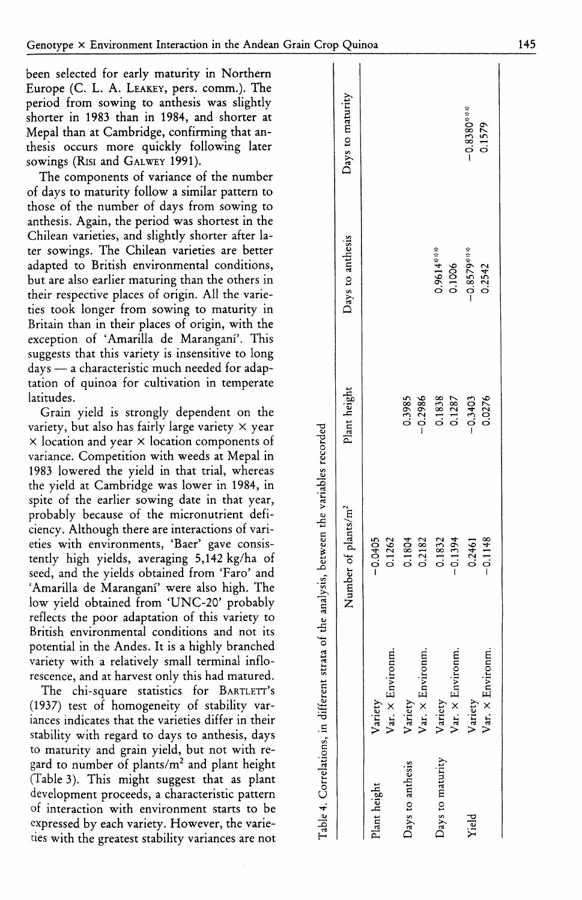Europe (C. L. A. LEAKEY, pers. comm.). The period from sowing to anthesis was slightly shorter in 1983 than in 1984, and shorter at Mepal than at Cambridge, confirming that anthesis occurs more quickly following later sowings (RISI and GALWEY 1991).

The components of variance of the number of days to maturity follow a similar pattern to those of the number of days from sowing to anthesis. Again, the period was shortest in the Chilean varieties, and slightly shorter after later sowings. The Chilean varieties are better adapted to British environmental conditions, but are also earlier maturing than the others in their respective places of origin. All the varieties took longer from sowing to maturity in Britain than in their places of origin, with the exception of 'Amarilla de Marangani'. This suggests that this variety is insensitive to long days — a characteristic much needed for adaptation of quinoa for cultivation in temperate latitudes.

Grain yield is strongly dependent on the variety, but also has fairly large variety  $\times$  year  $\times$  location and year  $\times$  location components of variance. Competition with weeds at Mepal in 1983 lowered the yield in that trial, whereas the yield at Cambridge was lower in 1984, in spite of the earlier sowing date in that year, probably because of the micronutrient deficiency. Although there are interactions of varieties with environments, 'Baer' gave consistently high yields, averaging 5,142 kg/ha of seed, and the yields obtained from 'Faro' and 'Amarilla de Marangani' were also high. The low yield obtained from 'UNC-20' probably reflects the poor adaptation of this variety to British environmental conditions and not its potential in the Andes. It is a highly branched variety with a relatively small terminal inflorescence, and at harvest only this had matured.

The chi-square statistics for BARTLETT'S (1937) test of homogeneity of stability variances indicates that the varieties differ in their stability with regard to days to anthesis, days to maturity and grain yield, but not with regard to number of plants/ $m<sup>2</sup>$  and plant height (Table 3). This might suggest that as plant development proceeds, a characteristic pattern of interaction with environment starts to be expressed by each variety. However, the varie ties with the greatest stability variances are not

|                  |                                    | Table 4. Correlations, in different strata of the analysis, between the variables recorded |                     |                        |                        |
|------------------|------------------------------------|--------------------------------------------------------------------------------------------|---------------------|------------------------|------------------------|
|                  |                                    | Number of plants/m <sup>2</sup>                                                            | Plant height        | Days to anthesis       | Days to maturity       |
| Plant height     | Var. $\times$ Environm.<br>Variety | $-0.0405$<br>0.1262                                                                        |                     |                        |                        |
| Days to anthesis | Var. × Environm.<br>Variety        | 0.2182<br>0.1804                                                                           | 0.3985<br>$-0.2986$ |                        |                        |
| Days to maturity | Var. × Environm<br>Variety         | 0.1832<br>$-0.1394$                                                                        | 0.1838<br>0.1287    | 0.9614***<br>0.1006    |                        |
| Yield            | Var. × Environm.<br>Variety        | $-0.1148$<br>0.2461                                                                        | 0.0276<br>$-0.3403$ | $-0.8579***$<br>0.2542 | $-0.8380***$<br>0.1579 |
|                  |                                    |                                                                                            |                     |                        |                        |

**H**

**Q**

 $\overline{1}$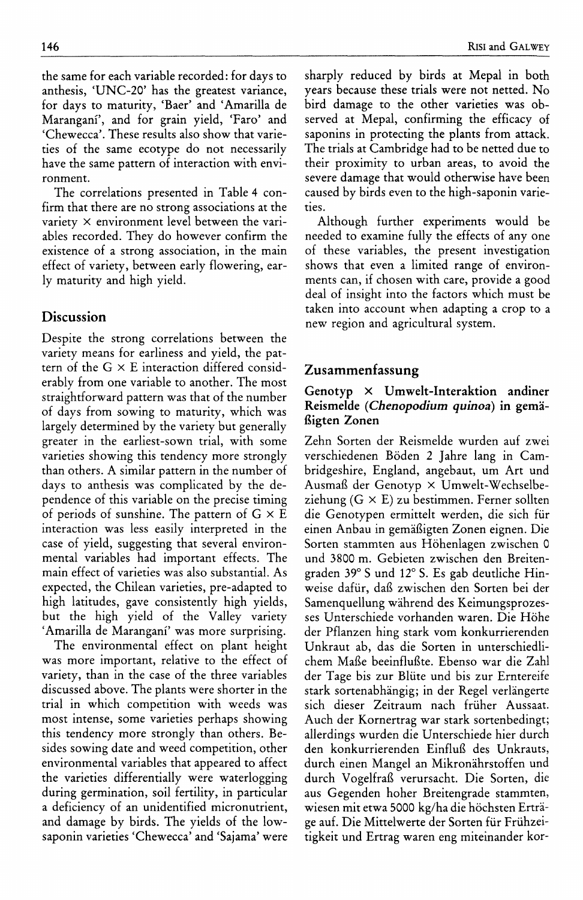ronment. The correlations presented in Table 4 confirm that there are no strong associations at the variety  $\times$  environment level between the variables recorded. They do however confirm the existence of a strong association, in the main effect of variety, between early flowering, early maturity and high yield.

## Discussion

Despite the strong correlations between the variety means for earliness and yield, the pattern of the  $G \times E$  interaction differed considerably from one variable to another. The most straightforward pattern was that of the number of days from sowing to maturity, which was largely determined by the variety but generally greater in the earliest-sown trial, with some varieties showing this tendency more strongly than others. A similar pattern in the number of days to anthesis was complicated by the dependence of this variable on the precise timing of periods of sunshine. The pattern of  $G \times E$ interaction was less easily interpreted in the case of yield, suggesting that several environmental variables had important effects. The main effect of varieties was also substantial. As expected, the Chilean varieties, pre-adapted to high latitudes, gave consistently high yields, but the high yield of the Valley variety 'Amarilla de Marangani' was more surprising.

The environmental effect on plant height was more important, relative to the effect of variety, than in the case of the three variables discussed above. The plants were shorter in the trial in which competition with weeds was most intense, some varieties perhaps showing this tendency more strongly than others. Besides sowing date and weed competition, other environmental variables that appeared to affect the varieties differentially were waterlogging during germination, soil fertility, in particular a deficiency of an unidentified micronutrient, and damage by birds. The yields of the lowsaponin varieties 'Chewecca' and 'Sajama' were sharply reduced by birds at Mepal in both years because these trials were not netted. No bird damage to the other varieties was observed at Mepal, confirming the efficacy of saponins in protecting the plants from attack. The trials at Cambridge had to be netted due to their proximity to urban areas, to avoid the severe damage that would otherwise have been caused by birds even to the high-saponin varieties.

Although further experiments would be needed to examine fully the effects of any one of these variables, the present investigation shows that even a limited range of environments can, if chosen with care, provide a good deal of insight into the factors which must be taken into account when adapting a crop to a new region and agricultural system.

## **Zusammenfassung**

## **Genotyp X Umwelt-Interaktion andiner Reismelde** *{Chenopodium quinoa)* **in gemafiigten Zonen**

Zehn Sorten der Reismelde wurden auf zwei verschiedenen Boden 2 Jahre lang in Cambridgeshire, England, angebaut, um Art und Ausmaft der Genotyp x Umwelt-Wechselbeziehung  $(G \times E)$  zu bestimmen. Ferner sollten die Genotypen ermittelt werden, die sich fiir einen Anbau in gemafiigten Zonen eignen. Die Sorten stammten aus Hohenlagen zwischen 0 und 3800 m. Gebieten zwischen den Breitengraden 39° S und 12° S. Es gab deutliche Hinweise dafiir, dafi zwischen den Sorten bei der Samenquellung wahrend des Keimungsprozesses Unterschiede vorhanden waren. Die Hohe der Pflanzen hing stark vom konkurrierenden Unkraut ab, das die Sorten in unterschiedlichem Ma£e beeinflufite. Ebenso war die Zahl der Tage bis zur Bliite und bis zur Erntereife stark sortenabhangig; in der Regel verlangerte sich dieser Zeitraum nach friiher Aussaat. Auch der Kornertrag war stark sortenbedingt; allerdings wurden die Unterschiede hier durch den konkurrierenden Einflufi des Unkrauts, durch einen Mangel an Mikronahrstoffen und durch Vogelfrafi verursacht. Die Sorten, die aus Gegenden hoher Breitengrade stammten, wiesen mit etwa 5000 kg/ha die höchsten Erträge auf. Die Mittelwerte der Sorten fiir Friihzeitigkeit und Ertrag waren eng miteinander kor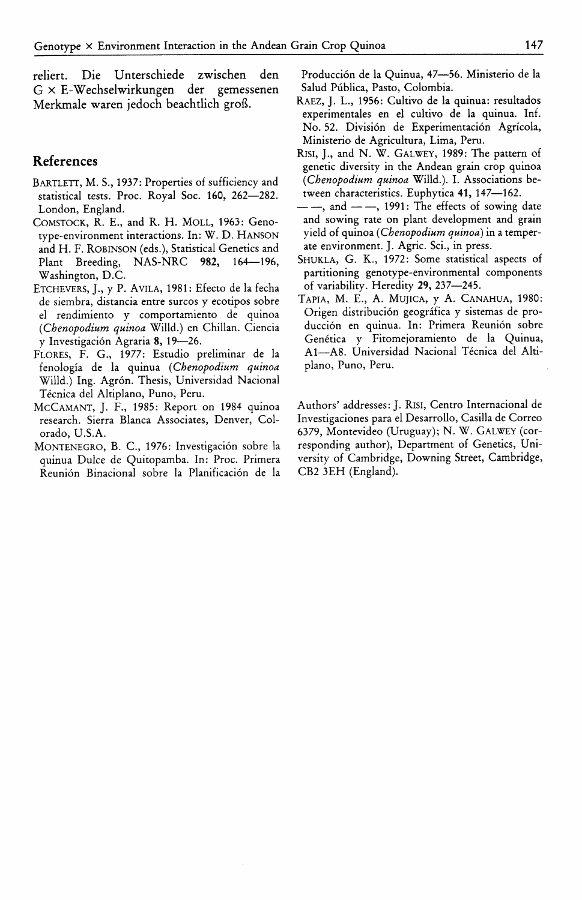reliert. Die Unterschiede zwischen den G X E-Wechselwirkungen der gemessenen Merkmale waren jedoch beachtlich grofi.

## **References**

- BARTLETT, M. S., 1937: Properties of sufficiency and statistical tests. Proc. Royal Soc. **160,** 262—282. London, England.
- GOMSTOCK, R. E., and R. H. MOLL, 1963: Genotype-environment interactions. In: W. D. HANSON and H. F. ROBINSON (eds.). Statistical Genetics and Plant Breeding, NAS-NRG **982,** 164—196, Washington, D.G.
- ETCHEVERS, J., y P. AVILA, 1981: Efecto de la fecha de siembra, distancia entre surcos y ecotipos sobre el rendimiento y comportamiento de quinoa *{Chenopodium quinoa* Willd.) en Ghillan. Giencia y Investigacion Agraria 8, 19—26.
- FLORES, F. G., 1977: Estudio preliminar de la fenologia de la quinua *{Chenopodium quinoa* Willd.) Ing. Agrón. Thesis, Universidad Nacional Técnica del Altiplano, Puno, Peru.
- MCGAMANT, J. F., 1985: Report on 1984 quinoa research. Sierra Blanca Associates, Denver, Golorado, U.S.A.
- MONTENEGRO, B. C., 1976: Investigación sobre la quinua Dulce de Quitopamba. In: Proc. Primera Reunion Binacional sobre la Planificacion de la

Produccion de la Quinua, 47—56. Ministerio de la Salud Publica, Pasto, Golombia.

- RAEZ, J. L., 1956: Gultivo de la quinua: resultados experimentales en el cultivo de la quinua. Inf. No. 52. Division de Experimentacion Agricola, Ministerio de Agricultura, Lima, Peru.
- RISI, J., and N. W. GALWEY, 1989: The pattern of genetic diversity in the Andean grain crop quinoa *{Chenopodium quinoa* Willd.). I. Associations between characteristics. Euphytica 41, 147—162.
- $\frac{1}{\sqrt{1-\frac{1}{\sqrt{1-\frac{1}{\sqrt{1-\frac{1}{\sqrt{1-\frac{1}{\sqrt{1-\frac{1}{\sqrt{1-\frac{1}{\sqrt{1-\frac{1}{\sqrt{1-\frac{1}{\sqrt{1-\frac{1}{\sqrt{1-\frac{1}{\sqrt{1-\frac{1}{\sqrt{1-\frac{1}{\sqrt{1-\frac{1}{\sqrt{1-\frac{1}{\sqrt{1-\frac{1}{\sqrt{1-\frac{1}{\sqrt{1-\frac{1}{\sqrt{1-\frac{1}{\sqrt{1-\frac{1}{\sqrt{1-\frac{1}{\sqrt{1-\frac{1}{\sqrt{1-\frac{1}{\sqrt{1-\frac{1}{\sqrt{1-\frac{1$ and sowing rate on plant development and grain yield of quinoa *{Chenopodium quinoa)* in a temperate environment. J. Agric. Sci., in press.
- SHUKLA, G. K., 1972: Some statistical aspects of partitioning genotype-environmental components of variability. Heredity **29,** 237—245.
- TAPIA, M. E., A. MUJICA, y A. GANAHUA, 1980: Origen distribucion geografica y sistemas de producción en quinua. In: Primera Reunión sobre Genética y Fitomejoramiento de la Quinua, A1-A8. Universidad Nacional Técnica del Altiplano, Puno, Peru.

Authors' addresses: J. Risi, Gentro Internacional de Investigaciones para el Desarrollo, Gasilla de Gorreo 6379, Montevideo (Uruguay); N. W. GALWEY (corresponding author). Department of Genetics, University of Gambridge, Downing Street, Gambridge, GB2 3EH (England).